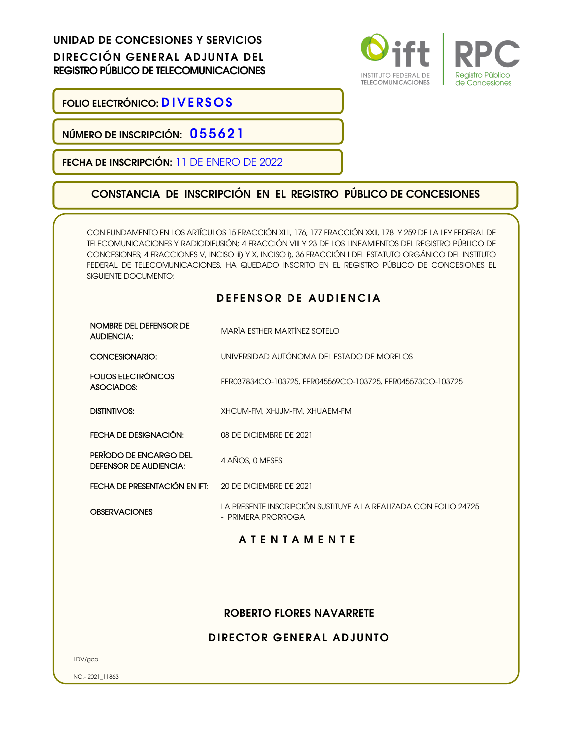UNIDAD DE CONCESIONES Y SERVICIOS DIRECCIÓN GENERAL ADJUNTA DEL REGISTRO PÚBLICO DE TELECOMUNICACIONES



FOLIO ELECTRÓNICO: DIVERSOS

NÚMERO DE INSCRIPCIÓN: 055621

FECHA DE INSCRIPCIÓN: 11 DE ENERO DE 2022

## CONSTANCIA DE INSCRIPCIÓN EN EL REGISTRO PÚBLICO DE CONCESIONES

CON FUNDAMENTO EN LOS ARTÍCULOS 15 FRACCIÓN XLII, 176, 177 FRACCIÓN XXII, 178 Y 259 DE LA LEY FEDERAL DE TELECOMUNICACIONES Y RADIODIFUSIÓN; 4 FRACCIÓN VIII Y 23 DE LOS LINEAMIENTOS DEL REGISTRO PÚBLICO DE CONCESIONES; 4 FRACCIONES V, INCISO iii) Y X, INCISO i), 36 FRACCIÓN I DEL ESTATUTO ORGÁNICO DEL INSTITUTO FEDERAL DE TELECOMUNICACIONES, HA QUEDADO INSCRITO EN EL REGISTRO PÚBLICO DE CONCESIONES EL SIGUIENTE DOCUMENTO:

## DEFENSOR DE AUDIENCIA

| NOMBRE DEL DEFENSOR DE<br><b>AUDIENCIA:</b>             | MARÍA ESTHER MARTÍNEZ SOTELO                                                           |
|---------------------------------------------------------|----------------------------------------------------------------------------------------|
| CONCESIONARIO:                                          | UNIVERSIDAD AUTÓNOMA DEL ESTADO DE MORELOS                                             |
| FOLIOS ELECTRÓNICOS<br>ASOCIADOS:                       | FER037834CO-103725, FER045569CO-103725, FER045573CO-103725                             |
| DISTINTIVOS:                                            | XHCUM-FM, XHJJM-FM, XHUAEM-FM                                                          |
| FECHA DE DESIGNACIÓN:                                   | 08 DE DICIEMBRE DE 2021                                                                |
| PERÍODO DE ENCARGO DEL<br><b>DEFENSOR DE AUDIENCIA:</b> | 4 AÑOS, 0 MESES                                                                        |
| FECHA DE PRESENTACIÓN EN IFT:                           | 20 DE DICIEMBRE DE 2021                                                                |
| <b>OBSERVACIONES</b>                                    | LA PRESENTE INSCRIPCIÓN SUSTITUYE A LA REALIZADA CON FOLIO 24725<br>- PRIMERA PRORROGA |
|                                                         | <b>ATENTAMENTE</b>                                                                     |
|                                                         |                                                                                        |

## ROBERTO FLORES NAVARRETE

## DIRECTOR GENERAL ADJUNTO

LDV/gcp

NC.- 2021\_11863